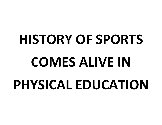# **HISTORY OF SPORTS COMES ALIVE IN PHYSICAL EDUCATION**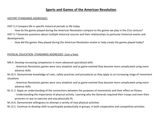### **Sports and Games of the American Revolution**

#### HISTORY STANDARDS ADDRESSED:

HIST 5.2 Compare life in specific historical periods to life today

- How do the games played during the American Revolution compare to the games we play in the 21st century? HIST 5.7 Generate questions about multiple historical sources and their relationships to particular historical events and developments.

- How did the games they played during the American Revolution evolve or help create the games played today?

#### PHYSICAL EDUCATION STANDARDS ADDRESSED (Just a few):

M9.4. Develop increasing competence in more advanced specialized skills

- American Revolution games were very simplistic and as game evolved they became more complicated using more advance skills.

M.10.3. Demonstrate knowledge of rules, safety practices and procedures as they apply to an increasing range of movement situations

- American Revolution games were very simplistic and as game evolved they became more complicated using more advance skills.

- M.11.2. Apply an understanding of the connections between the purposes of movements and their effect on fitness
	- Understanding the importance of physical activity. Learning why the Generals required their troops and even their prisoners or war to exercise and stay physically fit.
- M.14.6. Demonstrate willingness to attempt a variety of new physical activities
- M.13.2. Continue to develop skills to participate productively in groups, in both cooperative and competitive activities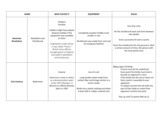|                               | <b>GAME</b>                   | <b>WHO PLAYED IT</b>                                                                                                                                                                                                                                                                 | <b>EQUIPMENT</b>                                                                                                                                                                        | <b>RULES</b>                                                                                                                                                                                                                                                                                                                                                             |
|-------------------------------|-------------------------------|--------------------------------------------------------------------------------------------------------------------------------------------------------------------------------------------------------------------------------------------------------------------------------------|-----------------------------------------------------------------------------------------------------------------------------------------------------------------------------------------|--------------------------------------------------------------------------------------------------------------------------------------------------------------------------------------------------------------------------------------------------------------------------------------------------------------------------------------------------------------------------|
| American<br><b>Revolution</b> | Battledore and<br>Shuttlecock | Children<br>Families<br>Soldiers might have played<br>between battles if the<br>equipment was available<br>to them<br>Originated in India where<br>it was called "Poona."<br><b>British Army officers</b><br>brought game to England<br>and called it battledore<br>and shuttlecock. | Completely wooden Paddle much<br>smaller in size<br>Shuttlecock was made from cork and<br>16 real goose feathers                                                                        | Very few rules<br>Hit the shuttlecock back and forth between<br>two people<br>Every successful hit earns a point<br>Once the shuttlecock hits the ground or after<br>a certain amount of time, the person with<br>the most points wins                                                                                                                                   |
| 21st Century                  | Badminton                     | Anyone<br>Badminton made its debut<br>as a demonstration sport<br>at the 1972 Olympics. It<br>Became an official Olympic<br>Sport in 1992                                                                                                                                            | Use of a net<br>Long handle racket made from<br>carbon fiber and strings similar to a<br>tennis racket<br>Birdie has a plastic netting and either<br>a foam ball or rubber covered cork | Many rules including:<br>A serve must be hit underhand<br>Score point the birdie must land in<br>bounds on opponent's court<br>If the birdie hits the net or lands out<br>then a point is awarded to your<br>opponent<br>If a player touches the net with any<br>part of their body or racket their<br>opponent receives the point<br>Play up until 21 points (Win by 2) |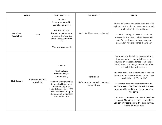|                               | <b>GAME</b>                       | <b>WHO PLAYED IT</b>                                                                                                                                                                                                                            | <b>EQUIPMENT</b>                                                        | <b>RULES</b>                                                                                                                                                                                                                                                                                                                                                                                                                                                                                                                                                                                                                                                                              |
|-------------------------------|-----------------------------------|-------------------------------------------------------------------------------------------------------------------------------------------------------------------------------------------------------------------------------------------------|-------------------------------------------------------------------------|-------------------------------------------------------------------------------------------------------------------------------------------------------------------------------------------------------------------------------------------------------------------------------------------------------------------------------------------------------------------------------------------------------------------------------------------------------------------------------------------------------------------------------------------------------------------------------------------------------------------------------------------------------------------------------------------|
| American<br><b>Revolution</b> | Fives                             | Soldiers<br>Sometimes played for<br>gambling purposes<br>Prisoners of War<br>Even though they were<br>prisoners they wanted<br>them to stay physically<br>fit<br>Men and boys mostly                                                            | Small, hard leather or rubber ball                                      | Hit the ball over a line on the back wall with<br>a gloved hand so that your opponent cannot<br>return it before the second bounce<br>Take turns hitting the ball until someone<br>messes up. The person who messes up is<br>out. Play continues until you have one<br>person left who is declared the winner                                                                                                                                                                                                                                                                                                                                                                             |
| 21st Century                  | American Handball<br>or Wall Ball | Anyone<br>Can be played<br>recreationally or<br>competitively<br>National championships<br>in handball have been<br>held annually in the<br>United States since 1919.<br>This actually lead up to<br>the game of racquetball<br>created in 1949 | <b>Tennis Ball</b><br>Hi-Bounce Rubber Ball in national<br>competitions | The server hits the ball on the ground so it<br>bounces up to hit the wall. If the serve<br>bounces on the ground more than once or<br>doesn't bounce on the ground before it hits<br>the wall, it is considered out<br>The next player hits the rebound. If the ball<br>bounces more than once they out, but they<br>may hit the ball "On the Fly"<br>Designated lines on a specific sized court.<br>Service area is 5 feet from the wall. Receiver<br>must stand behind the service area during<br>the serve.<br>The server continues to serve until they lose<br>the point. Then they become the receiver.<br>You can only score points if you are serving.<br>First to 21 points wins |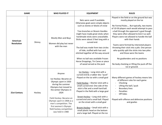|                               | <b>GAME</b> | <b>WHO PLAYED IT</b>                                                                                                                                                                                                                                                                                 | <b>EQUIPMENT</b>                                                                                                                                                                                                                                                                                                                                                                                                                                                                                       | <b>RULES</b>                                                                                                                                                                                                                                                                                                                                                                                                                                                                                                                                                                                                  |
|-------------------------------|-------------|------------------------------------------------------------------------------------------------------------------------------------------------------------------------------------------------------------------------------------------------------------------------------------------------------|--------------------------------------------------------------------------------------------------------------------------------------------------------------------------------------------------------------------------------------------------------------------------------------------------------------------------------------------------------------------------------------------------------------------------------------------------------------------------------------------------------|---------------------------------------------------------------------------------------------------------------------------------------------------------------------------------------------------------------------------------------------------------------------------------------------------------------------------------------------------------------------------------------------------------------------------------------------------------------------------------------------------------------------------------------------------------------------------------------------------------------|
| American<br><b>Revolution</b> | Shinny      | Mostly Men and Boys<br>Women did play but never<br>with the men                                                                                                                                                                                                                                      | Nets were used if available.<br>Otherwise goals were simple objects<br>such as stones or blocks of snow<br>Tree branches or Broom Handles<br>might have made great sticks when<br>handmade sticks were unavailable.<br>Sticks were about 3 feet long with a<br>curved end.<br>The ball was made from two circles<br>of hide, stuffed with hair and<br>stitched together all the way around<br>When no ball was available Frozen<br>Horse Droppings, Tin Canes or piece<br>of wood served as the puck   | Played in the field or on the ground but was<br>mostly played on the Ice<br>No Formal Rules But typically, two teams<br>of 10-50 players each would attempt to pass<br>a ball through the opponent's goal though<br>they were often allowed to kick it as well.<br>Players were not allowed to handle the ball<br>with their hands<br>Teams were formed by interested players<br>throwing their stick into a pile. One person<br>who quickly split the sticks into two piles<br>and those were the teams<br>No goaltenders and no positions<br>No body checking or lifting the puck off the<br>ice or ground. |
| 21st Century                  | Hockey      | Anyone<br>Ice Hockey: Became an<br>Olympic sport in 1920<br>during the summer<br>Olympics but moved to<br>the winter Olympics in<br>1924<br>Field Hockey: Became an<br>Olympic sport in 1908 as a<br>men's competition. The<br>first women's Olympic<br>field hockey competition<br>was held in 1980 | Ice Hockey - Long stick with a<br>curved end & a rubber disc "puck"<br>Played on the ice with a small goal<br>Field Hockey - Shorter stick with a<br>small curved end. One side of the<br>stick is flat and a small hard ball.<br>Played in the field with a large goal<br>Street Hockey - Long stick with a<br>curved end and a small ball. Played<br>on the street with a small goal<br>Broom Hockey - Small stick with a<br>small plastic head on the bottom<br>and a large ball. Played on the ice | Many different games of hockey means lots<br>of different rules for each game<br>Checking<br>Lifting the ball / puck<br><b>Boundary lines</b><br>Penalties<br><b>Off Sides</b><br>Played with offense and defensive positions<br>and goalies                                                                                                                                                                                                                                                                                                                                                                  |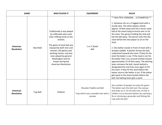| <b>GAME</b>                   |                   | <b>WHO PLAYED IT</b>                                                                                                                                                                                                                                                                                            | <b>EQUIPMENT</b>                                                       | <b>RULES</b>                                                                                                                                                                                                                                                                                                                                                                                                                                                                                                                                                                                                                                                                                                                                                                                                                                                                                                                                                      |
|-------------------------------|-------------------|-----------------------------------------------------------------------------------------------------------------------------------------------------------------------------------------------------------------------------------------------------------------------------------------------------------------|------------------------------------------------------------------------|-------------------------------------------------------------------------------------------------------------------------------------------------------------------------------------------------------------------------------------------------------------------------------------------------------------------------------------------------------------------------------------------------------------------------------------------------------------------------------------------------------------------------------------------------------------------------------------------------------------------------------------------------------------------------------------------------------------------------------------------------------------------------------------------------------------------------------------------------------------------------------------------------------------------------------------------------------------------|
| American<br><b>Revolution</b> | <b>Stool Ball</b> | Traditionally it was played<br>by milkmaids who used<br>their milking stools as the<br>wickets<br>The game of stool ball was<br>enjoyed by both men and<br>women, the gentry and<br>working classes, and was<br>even played by general<br>Washington and his<br>troops during the<br><b>American Revolution</b> | 1 or 2 Stools<br>Ball                                                  | ** MULTIPLE VERSIONS (2 EXAMPLES) **<br>1. Someone sits on a 3 legged stool with a<br>sturdy stick. The other players stands<br>approx. 10 feet away and roll a soccer sized<br>ball at the stool trying to knock over or hit<br>the stool. The person holding the stick will<br>bat the ball away. The person who hits the<br>stool will be the next player to sit on the<br>stool<br>2. One batter stands in front of stool with a<br>wooden paddle. A pitcher throws the ball<br>underhand towards the stool. If they hit the<br>stool the batter is out. If the stool is not hit,<br>the batter then runs around another bucket<br>approximately 15-20 feet away. The pitching<br>team retrieves the ball, stands behind a<br>designated line and tries once again to hit<br>the stool. If they hit the stool before the<br>batter returns the batter is out. If the batter<br>gets back to the home bucket before the<br>ball, the batting team gets a point |
| American<br><b>Revolution</b> | <b>Trap Ball</b>  | Children                                                                                                                                                                                                                                                                                                        | Wooden Paddle and Ball<br>Trap which was a wooden box with a<br>seesaw | Any number of people can play the game.<br>The batter puts the ball over the seesaw<br>and steps on it. As the ball rises, he hits it.<br>Fielders try to become batters by catching a<br>fly or retrieving a grounder and hitting the<br>trap with the ball.                                                                                                                                                                                                                                                                                                                                                                                                                                                                                                                                                                                                                                                                                                     |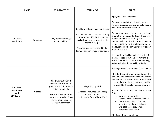|                                                                  | <b>GAME</b> | <b>WHO PLAYED IT</b>                                                                                                                                                                                     | <b>EQUIPMENT</b>                                                                                                                                                                                                                                                | <b>RULES</b>                                                                                                                                                                                                                                                                                                                                                                                                                                                                                                                                                                                                                                                  |
|------------------------------------------------------------------|-------------|----------------------------------------------------------------------------------------------------------------------------------------------------------------------------------------------------------|-----------------------------------------------------------------------------------------------------------------------------------------------------------------------------------------------------------------------------------------------------------------|---------------------------------------------------------------------------------------------------------------------------------------------------------------------------------------------------------------------------------------------------------------------------------------------------------------------------------------------------------------------------------------------------------------------------------------------------------------------------------------------------------------------------------------------------------------------------------------------------------------------------------------------------------------|
| American<br>Revolution                                           | Rounders    | Very popular amongst<br>school children                                                                                                                                                                  | Small hard ball, weighing about. 3 oz<br>A round wooden "stick," measuring<br>not more than 6 $\frac{3}{4}$ in. around the<br>thickest part and no more than 18<br>inches in length<br>The playing field is marked in the<br>form of an open irregular pentagon | 9 players, 9 outs, 2 innings<br>The bowler bowls the ball to the batter,<br>Three consecutive bad bowled balls secure<br>half a rounder for the batsman.<br>The batsman must strike at a good ball and<br>attempt to run a rounder (even if he misses<br>the ball or fails to strike at it) in a<br>counterclockwise direction around the first,<br>second, and third posts and then home to<br>the fourth post, though he may stay at any<br>of the first three.<br>He is out if the ball is caught on the fly; if<br>the base (post) to which he is running is<br>touched with the ball; or if, while running,<br>he is touched with the ball by a fielder. |
| American<br><b>Revolution</b><br>and<br>21 <sup>st</sup> Century | Cricket     | Children mostly but it<br>became more and more<br>popular with adults and it<br>gained popularity<br>Written documentation<br>that troops at Valley Forge<br>played often including<br>George Washington | Large playing field<br>2 wickets (3 stumps and 2 bails)<br>1 small hard Ball<br>1 Stick made from Willow Wood                                                                                                                                                   | Batting is done in pairs. One at each wicket<br>Bowler throws the ball to the Batter who<br>then hits the ball into the field. The batters<br>run and switch places. They continue to do<br>so until one of them is out or the ball is<br>returned to the wicket keeper or bowler<br>Ball hits fence = $4$ runs, Over fence = $6$ runs<br>Outs:<br>Bowler hits the wicket<br>Players in the field catch the ball<br>Batter runs out to hit ball and<br>wicket keeper knocked down<br>wickets before they return<br>Batter hits own wicket<br>2 Innings - Teams switch roles                                                                                   |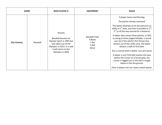|              | <b>GAME</b> | <b>WHO PLAYED IT</b>                                                                                                                                           | <b>EQUIPMENT</b>                                             | <b>RULES</b>                                                                                                                                                                                                                                                                                                                                                                                                                                                                                                                                                                                                                                                                                                           |
|--------------|-------------|----------------------------------------------------------------------------------------------------------------------------------------------------------------|--------------------------------------------------------------|------------------------------------------------------------------------------------------------------------------------------------------------------------------------------------------------------------------------------------------------------------------------------------------------------------------------------------------------------------------------------------------------------------------------------------------------------------------------------------------------------------------------------------------------------------------------------------------------------------------------------------------------------------------------------------------------------------------------|
| 21st Century | Baseball    | Anyone<br>Baseball became an<br>Olympic Sport in 1992 but<br>was taken out of the<br>Olympics in 2012. It is said<br>it will return to the<br>Olympics in 2020 | <b>Baseball Field</b><br>4 Bases<br>1 bat<br>1 Ball<br>Glove | 9 player teams and 9innings<br>The pitcher throws overhand.<br>The batter attempts to hit the ball and run<br>safely to $1^{st}$ base, and then if possible to $2^{nd}$ ,<br>3rd or all the way around for a Homerun<br>A batter who misses three pitches, or fails<br>to swing at three judged hittable, is struck<br>out, but if the pitcher first throws four<br>pitches out of the strike zone, the batter<br>obtains a walk to first base.<br>Run is scored when a batter runs all 4 bases<br>A player is out if the ball reaches the base<br>before the runner on a forced play, the<br>runner is tagged out or the ball is caught<br>before it hits the ground.<br>Once 3 players are out, teams switch places. |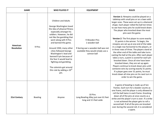| <b>GAME</b>                   |                | <b>WHO PLAYED IT</b>                                                                                                                                                                                                                                                                                                                                                                                                                                                | <b>EQUIPMENT</b>                                                                                                          | <b>RULES</b>                                                                                                                                                                                                                                                                                                                                                                                                                                                                                                                                                                                                                                                                                                                                                                                                                                                                                                                                                                                 |
|-------------------------------|----------------|---------------------------------------------------------------------------------------------------------------------------------------------------------------------------------------------------------------------------------------------------------------------------------------------------------------------------------------------------------------------------------------------------------------------------------------------------------------------|---------------------------------------------------------------------------------------------------------------------------|----------------------------------------------------------------------------------------------------------------------------------------------------------------------------------------------------------------------------------------------------------------------------------------------------------------------------------------------------------------------------------------------------------------------------------------------------------------------------------------------------------------------------------------------------------------------------------------------------------------------------------------------------------------------------------------------------------------------------------------------------------------------------------------------------------------------------------------------------------------------------------------------------------------------------------------------------------------------------------------------|
| American<br><b>Revolution</b> | 9 Pins         | <b>Children and Adults</b><br>George Washington loved<br>the idea of physical fitness<br>especially amongst his<br>soldiers. However, he did<br>not like the gambling that<br>went along with 9 Pins<br>and banned the game.<br>Around 1930, many other<br>cities followed George<br>Washington's lead and<br>banned 9 pin because of<br>the fear it would lead to<br>fighting and gambling.<br>The colonists got around<br>this rule by adding a $10^{th}$<br>pin. | 9 Wooden Pins<br>1 wooden ball<br>If during war a wooden ball was not<br>available they would simply use a<br>cannon ball | Version 1: Ninepins could be played on a<br>tabletop with small pins or on a lawn with<br>larger ones. These were set up in a diamond<br>shape. Each player rolled the ball ten times<br>to see how many pins he could knock down.<br>The player who knocked down the most<br>pins won the game.<br>Version 2: The first player to score exactly<br>31 points is the winner. To begin, the<br>ninepins are set up at one end of the table<br>in a single row horizontal to the players, or<br>in three rows of three. The players stand at<br>the other end of the table and take turns<br>casting the ball at the pins. After each player<br>takes a turn, a point is scored for each pin<br>knocked down. Once all nine have been<br>knocked down, they are set up again.<br>Players continue to knock down pins until<br>someone wins by scoring exactly 31 points.<br>If a player goes over 31 points, he must<br>knock down all nine pins on his next turn in<br>order to win the game. |
| 21st Century                  | <b>Bowling</b> | Anyone                                                                                                                                                                                                                                                                                                                                                                                                                                                              | 10 Pins<br>Long Bowling Alley just over 61 feet<br>long and 3.5 feet wide                                                 | A game of bowling is made up of ten<br>frames. Each turn for a bowler counts as<br>one frame, and the player is only allowed to<br>roll the ball twice in each frame. Knocking<br>down all of the pins at once counts as a<br>strike and the player's turn is over. If a strike<br>is not achieved the player gets to roll a<br>second ball. If all of the pins are knocked<br>over during the second roll, it is considered<br>a spare.                                                                                                                                                                                                                                                                                                                                                                                                                                                                                                                                                     |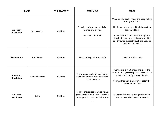| <b>GAME</b>                   |                     | <b>WHO PLAYED IT</b> | <b>EQUIPMENT</b>                                                                                                        | <b>RULES</b>                                                                                                                                                                                                                                                                                     |
|-------------------------------|---------------------|----------------------|-------------------------------------------------------------------------------------------------------------------------|--------------------------------------------------------------------------------------------------------------------------------------------------------------------------------------------------------------------------------------------------------------------------------------------------|
| American<br><b>Revolution</b> | <b>Rolling Hoop</b> | Children             | Thin piece of wooden that is flat<br>formed into a circle<br>Small wooden stick                                         | Use a smaller stick to keep the hoop rolling<br>as long as possible.<br>Children may have raced their hoops to a<br>designated line.<br>Some children would roll the hoops in a<br>straight line and other children would try<br>and throw an object through the hoop as<br>the hoops rolled by. |
| 21st Century                  | Hula Hoops          | Children             | Plastic tubing to form a circle                                                                                         | No Rules - Tricks only                                                                                                                                                                                                                                                                           |
| American<br><b>Revolution</b> | Game of Graces      | Children             | Two wooden sticks for each player<br>and wooden circle often decorated<br>in colorful ribbon                            | Put the sticks in a X shape and place the<br>circle on top. Quickly separate the sticks and<br>watch the circle fly through the air.<br>Your partner would attempt to catch the<br>circle on their sticks                                                                                        |
| American<br><b>Revolution</b> | <b>Bilbo</b>        | Children             | Long or short piece of wood with a<br>grooved circle on the top. Attached<br>is a rope with a wooden ball at the<br>end | Swing the ball and try and get the ball to<br>land on the end of the wooden stick                                                                                                                                                                                                                |